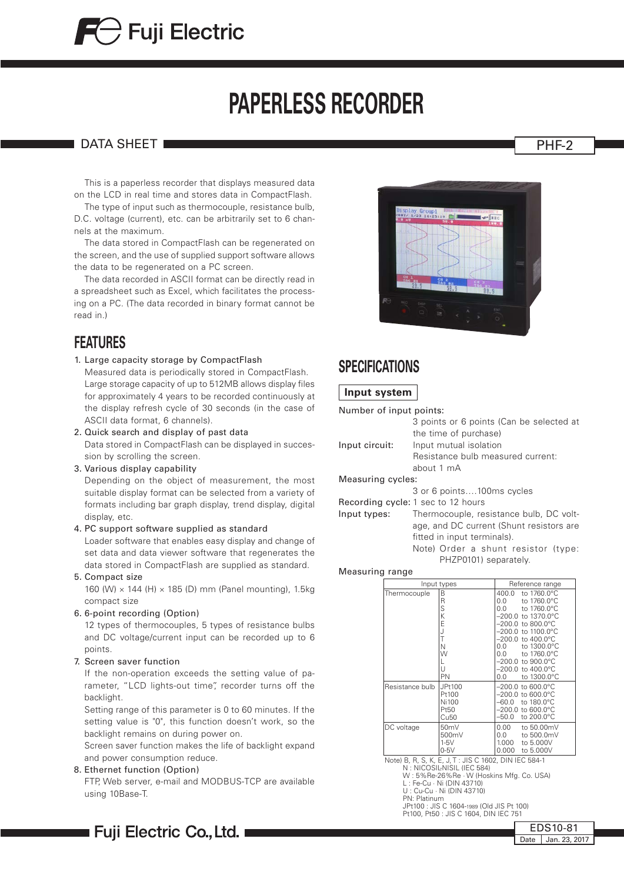# **PAPERLESS RECORDER**

#### DATA SHEET PHE-2

 This is a paperless recorder that displays measured data on the LCD in real time and stores data in CompactFlash.

 The type of input such as thermocouple, resistance bulb, D.C. voltage (current), etc. can be arbitrarily set to 6 channels at the maximum.

 The data stored in CompactFlash can be regenerated on the screen, and the use of supplied support software allows the data to be regenerated on a PC screen.

 The data recorded in ASCII format can be directly read in a spreadsheet such as Excel, which facilitates the processing on a PC. (The data recorded in binary format cannot be read in.)

### **FEATURES**

1. Large capacity storage by CompactFlash

Measured data is periodically stored in CompactFlash. Large storage capacity of up to 512MB allows display files for approximately 4 years to be recorded continuously at the display refresh cycle of 30 seconds (in the case of ASCII data format, 6 channels).

- 2. Quick search and display of past data Data stored in CompactFlash can be displayed in succession by scrolling the screen.
- 3. Various display capability

Depending on the object of measurement, the most suitable display format can be selected from a variety of formats including bar graph display, trend display, digital display, etc.

4. PC support software supplied as standard

Loader software that enables easy display and change of set data and data viewer software that regenerates the data stored in CompactFlash are supplied as standard.

5. Compact size

160 (W) × 144 (H) × 185 (D) mm (Panel mounting), 1.5kg compact size

6. 6-point recording (Option)

12 types of thermocouples, 5 types of resistance bulbs and DC voltage/current input can be recorded up to 6 points.

7. Screen saver function

If the non-operation exceeds the setting value of parameter, "LCD lights-out time", recorder turns off the backlight.

Setting range of this parameter is 0 to 60 minutes. If the setting value is "0", this function doesn't work, so the backlight remains on during power on.

Screen saver function makes the life of backlight expand and power consumption reduce.

8. Ethernet function (Option)

FTP, Web server, e-mail and MODBUS-TCP are available using 10Base-T.



|             | the time of purchase)             |
|-------------|-----------------------------------|
| ut circuit: | Input mutual isolation            |
|             | Resistance bulb measured current: |
|             | about $1 \text{ mA}$              |

#### Measuring cycles:

3 or 6 points….100ms cycles

- Recording cycle: 1 sec to 12 hours
- Input types: Thermocouple, resistance bulb, DC voltage, and DC current (Shunt resistors are fitted in input terminals). Note) Order a shunt resistor (type: PHZP0101) separately.

Measuring range

| Input types     |                                                      | Reference range                                                                                                                                                                                                                                                                                                |  |  |
|-----------------|------------------------------------------------------|----------------------------------------------------------------------------------------------------------------------------------------------------------------------------------------------------------------------------------------------------------------------------------------------------------------|--|--|
| Thermocouple    | В<br>R<br>S<br>K<br>E<br>J<br>T<br>N<br>W<br>U<br>PN | 400.0<br>to 1760.0°C<br>to 1760.0°C<br>0.0<br>to 1760.0°C<br>0.0<br>$-200.0$ to 1370.0°C<br>$-200.0$ to 800.0 $^{\circ}$ C<br>–200.0 to 1100.0°C<br>$-200.0$ to $400.0$ °C<br>to 1300.0°C<br>0.0<br>to 1760.0°C<br>0.0<br>$-200.0$ to $900.0^{\circ}$ C<br>$-200.0$ to $400.0^{\circ}$ C<br>to 1300.0°C<br>0.0 |  |  |
| Resistance bulb | JPt100<br>Pt100<br>Ni100<br>Pt50<br>Cu <sub>50</sub> | –200.0 to 600.0°C<br>–200.0 to 600.0°C<br>to 180.0°C<br>–60.0<br>–200.0 to 600.0°C<br>–50.0<br>to 200.0°C                                                                                                                                                                                                      |  |  |
| DC voltage      | 50 <sub>m</sub> V<br>500mV<br>$1-5V$<br>$0-5V$       | 0.00<br>to 50.00mV<br>to 500.0mV<br>0.0<br>1.000<br>to 5.000V<br>0.000<br>to 5.000V                                                                                                                                                                                                                            |  |  |

Note) B, R, S, K, E, J, T : JIS C 1602, DIN IEC 584-1 N : NICOSIL-NISIL (IEC 584)

W : 5%Re-26%Re · W (Hoskins Mfg. Co. USA) L : Fe-Cu · Ni (DIN 43710) U : Cu-Cu · Ni (DIN 43710)

- 
- 
- 
- PN: Platinum JPt100 : JIS C 1604-1989 (Old JIS Pt 100)

EDS10-81 Date Jan. 23, 2017

Pt100, Pt50 : JIS C 1604, DIN IEC 751

∎ Fuji Electric Co.,Ltd. ∎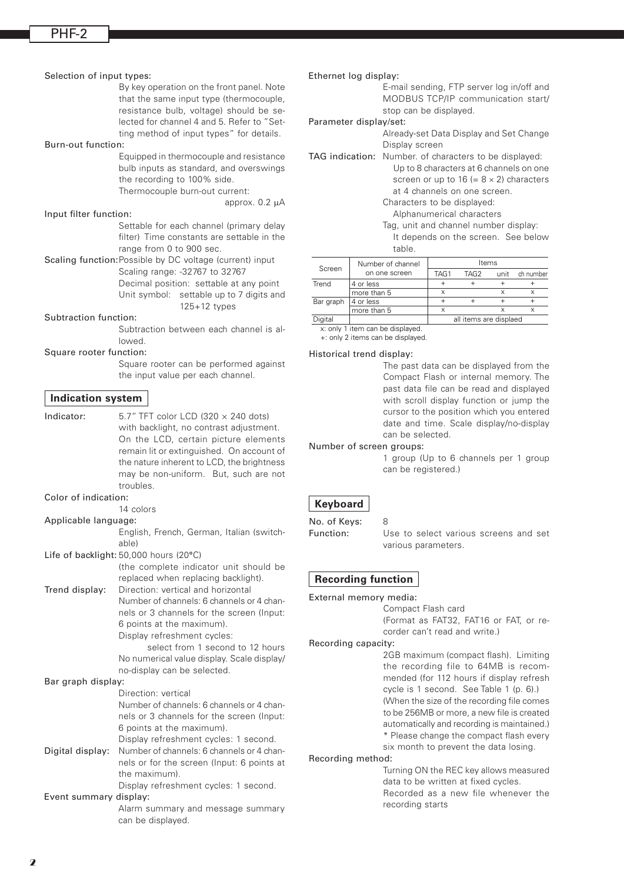#### Selection of input types:

By key operation on the front panel. Note that the same input type (thermocouple, resistance bulb, voltage) should be selected for channel 4 and 5. Refer to "Setting method of input types" for details.

#### Burn-out function:

Equipped in thermocouple and resistance bulb inputs as standard, and overswings the recording to 100% side. Thermocouple burn-out current:

approx. 0.2 µA

#### Input filter function:

Settable for each channel (primary delay filter) Time constants are settable in the range from 0 to 900 sec.

Scaling function: Possible by DC voltage (current) input Scaling range: -32767 to 32767 Decimal position: settable at any point Unit symbol: settable up to 7 digits and 125+12 types

#### Subtraction function:

Subtraction between each channel is allowed.

#### Square rooter function:

Square rooter can be performed against the input value per each channel.

#### **Indication system**

Indicator:  $5.7''$  TFT color LCD (320  $\times$  240 dots) with backlight, no contrast adjustment. On the LCD, certain picture elements remain lit or extinguished. On account of the nature inherent to LCD, the brightness may be non-uniform. But, such are not troubles. Color of indication: 14 colors

#### Applicable language:

English, French, German, Italian (switchable)

Life of backlight: 50,000 hours (20°C)

(the complete indicator unit should be replaced when replacing backlight). Trend display: Direction: vertical and horizontal Number of channels: 6 channels or 4 chan-

nels or 3 channels for the screen (Input: 6 points at the maximum). Display refreshment cycles: select from 1 second to 12 hours

> No numerical value display. Scale display/ no-display can be selected.

Bar graph display: Direction: vertical Number of channels: 6 channels or 4 channels or 3 channels for the screen (Input: 6 points at the maximum). Display refreshment cycles: 1 second. Digital display: Number of channels: 6 channels or 4 channels or for the screen (Input: 6 points at the maximum). Display refreshment cycles: 1 second.

#### Event summary display:

Alarm summary and message summary can be displayed.

#### Ethernet log display:

E-mail sending, FTP server log in/off and MODBUS TCP/IP communication start/ stop can be displayed.

#### Parameter display/set:

Already-set Data Display and Set Change Display screen

TAG indication: Number. of characters to be displayed: Up to 8 characters at 6 channels on one screen or up to  $16 (= 8 \times 2)$  characters at 4 channels on one screen. Characters to be displayed: Alphanumerical characters Tag, unit and channel number display:

It depends on the screen. See below table.

|           | Number of channel | Items                  |      |      |           |
|-----------|-------------------|------------------------|------|------|-----------|
| Screen    | on one screen     | TAG1                   | TAG2 | unit | ch number |
| Trend     | 4 or less         |                        |      |      |           |
|           | more than 5       | v                      |      |      |           |
| Bar graph | 4 or less         |                        |      |      |           |
|           | more than 5       | ×                      |      |      |           |
| Digital   |                   | all items are displaed |      |      |           |

x: only 1 item can be displayed. +: only 2 items can be displayed.

#### Historical trend display:

The past data can be displayed from the Compact Flash or internal memory. The past data file can be read and displayed with scroll display function or jump the cursor to the position which you entered date and time. Scale display/no-display can be selected.

#### Number of screen groups:

1 group (Up to 6 channels per 1 group can be registered.)

#### **Keyboard**

No. of Keys: 8

Function: Use to select various screens and set various parameters.

#### **Recording function**

External memory media:

Compact Flash card (Format as FAT32, FAT16 or FAT, or recorder can't read and write.)

#### Recording capacity:

2GB maximum (compact flash). Limiting the recording file to 64MB is recommended (for 112 hours if display refresh cycle is 1 second. See Table 1 (p. 6).) (When the size of the recording file comes to be 256MB or more, a new file is created automatically and recording is maintained.) \* Please change the compact flash every six month to prevent the data losing.

Recording method:

Turning ON the REC key allows measured data to be written at fixed cycles. Recorded as a new file whenever the recording starts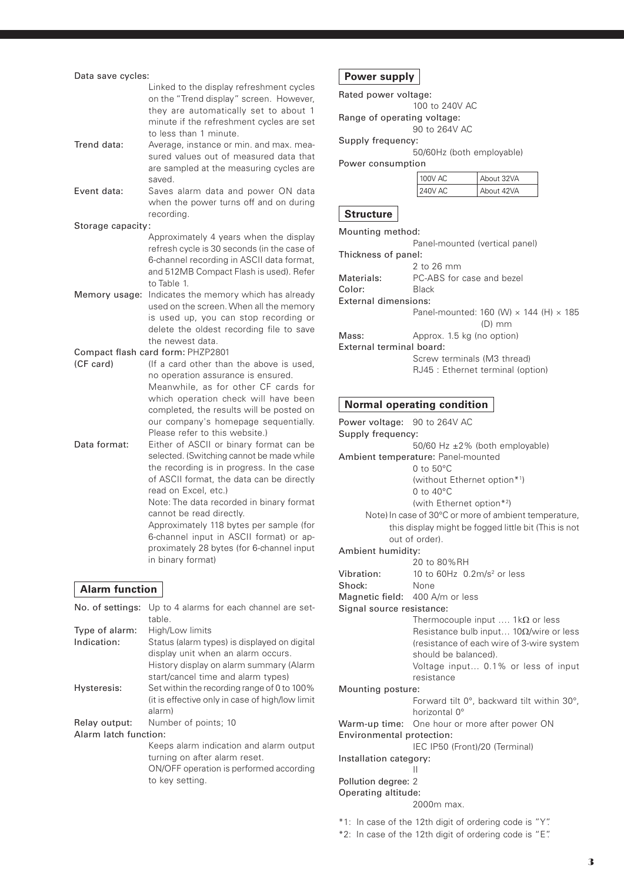| Data save cycles:     |                                                                                                                                                                                                                                                                                                                                                                                                                                        |  |  |  |
|-----------------------|----------------------------------------------------------------------------------------------------------------------------------------------------------------------------------------------------------------------------------------------------------------------------------------------------------------------------------------------------------------------------------------------------------------------------------------|--|--|--|
|                       | Linked to the display refreshment cycles<br>on the "Trend display" screen. However,<br>they are automatically set to about 1<br>minute if the refreshment cycles are set<br>to less than 1 minute.                                                                                                                                                                                                                                     |  |  |  |
| Trend data:           | Average, instance or min. and max. mea-<br>sured values out of measured data that<br>are sampled at the measuring cycles are<br>saved.                                                                                                                                                                                                                                                                                                 |  |  |  |
| Event data:           | Saves alarm data and power ON data<br>when the power turns off and on during<br>recording.                                                                                                                                                                                                                                                                                                                                             |  |  |  |
| Storage capacity:     |                                                                                                                                                                                                                                                                                                                                                                                                                                        |  |  |  |
|                       | Approximately 4 years when the display                                                                                                                                                                                                                                                                                                                                                                                                 |  |  |  |
|                       | refresh cycle is 30 seconds (in the case of<br>6-channel recording in ASCII data format,<br>and 512MB Compact Flash is used). Refer<br>to Table 1.                                                                                                                                                                                                                                                                                     |  |  |  |
| Memory usage:         | Indicates the memory which has already<br>used on the screen. When all the memory<br>is used up, you can stop recording or<br>delete the oldest recording file to save<br>the newest data.                                                                                                                                                                                                                                             |  |  |  |
|                       | Compact flash card form: PHZP2801                                                                                                                                                                                                                                                                                                                                                                                                      |  |  |  |
| (CF card)             | (If a card other than the above is used,<br>no operation assurance is ensured.<br>Meanwhile, as for other CF cards for<br>which operation check will have been<br>completed, the results will be posted on<br>our company's homepage sequentially.<br>Please refer to this website.)                                                                                                                                                   |  |  |  |
| Data format:          | Either of ASCII or binary format can be<br>selected. (Switching cannot be made while<br>the recording is in progress. In the case<br>of ASCII format, the data can be directly<br>read on Excel, etc.)<br>Note: The data recorded in binary format<br>cannot be read directly.<br>Approximately 118 bytes per sample (for<br>6-channel input in ASCII format) or ap-<br>proximately 28 bytes (for 6-channel input<br>in binary format) |  |  |  |
| <b>Alarm function</b> |                                                                                                                                                                                                                                                                                                                                                                                                                                        |  |  |  |
| No. of settings:      | Up to 4 alarms for each channel are set-<br>table                                                                                                                                                                                                                                                                                                                                                                                      |  |  |  |
| Type of alarm:        | High/Low limits                                                                                                                                                                                                                                                                                                                                                                                                                        |  |  |  |
| Indication:           | Status (alarm types) is displayed on digital<br>display unit when an alarm occurs.<br>History display on alarm summary (Alarm<br>start/cancel time and alarm types)                                                                                                                                                                                                                                                                    |  |  |  |
| Hysteresis:           | Set within the recording range of 0 to 100%<br>(it is effective only in case of high/low limit<br>alarm)                                                                                                                                                                                                                                                                                                                               |  |  |  |
| Relay output:         | Number of points; 10                                                                                                                                                                                                                                                                                                                                                                                                                   |  |  |  |
| Alarm latch function: | Keeps alarm indication and alarm output<br>turning on after alarm reset.<br>ON/OFF operation is performed according<br>to key setting.                                                                                                                                                                                                                                                                                                 |  |  |  |

### **Power supply** Rated power voltage:

Range of operating voltage:

90 to 264V AC Supply frequency: 50/60Hz (both employable) Power consumption 100V AC 240V AC About 32VA About 42VA **Structure** Mounting method: Panel-mounted (vertical panel) Thickness of panel: 2 to 26 mm Materials: PC-ABS for case and bezel Color: Black External dimensions: Panel-mounted:  $160$  (W)  $\times$   $144$  (H)  $\times$   $185$ (D) mm Mass: Approx. 1.5 kg (no option) External terminal board: Screw terminals (M3 thread) RJ45 : Ethernet terminal (option) **Normal operating condition** Power voltage: 90 to 264V AC Supply frequency: 50/60 Hz ±2% (both employable) Ambient temperature: Panel-mounted 0 to 50°C (without Ethernet option\*1) 0 to 40°C (with Ethernet option\*2) Note) In case of 30°C or more of ambient temperature, this display might be fogged little bit (This is not out of order). Ambient humidity:

100 to 240V AC

|                           | 20 to 80% RH                                                |  |  |
|---------------------------|-------------------------------------------------------------|--|--|
| Vibration:                | 10 to 60Hz $0.2m/s^2$ or less                               |  |  |
| Shock:                    | None                                                        |  |  |
|                           | Magnetic field: 400 A/m or less                             |  |  |
| Signal source resistance: |                                                             |  |  |
|                           | Thermocouple input $1k\Omega$ or less                       |  |  |
|                           | Resistance bulb input 10 $\Omega$ /wire or less             |  |  |
|                           | (resistance of each wire of 3-wire system                   |  |  |
|                           | should be balanced).                                        |  |  |
|                           | Voltage input 0.1% or less of input                         |  |  |
|                           | resistance                                                  |  |  |
| Mounting posture:         |                                                             |  |  |
|                           | Forward tilt $0^\circ$ , backward tilt within 30 $^\circ$ , |  |  |
|                           | horizontal 0°                                               |  |  |
|                           | Warm-up time: One hour or more after power ON               |  |  |
| Environmental protection: |                                                             |  |  |
|                           | IEC IP50 (Front)/20 (Terminal)                              |  |  |
| Installation category:    |                                                             |  |  |
|                           |                                                             |  |  |
|                           |                                                             |  |  |

#### Pollution degree: 2

Operating altitude:

2000m max.

\*1: In case of the 12th digit of ordering code is "Y".

\*2: In case of the 12th digit of ordering code is "E".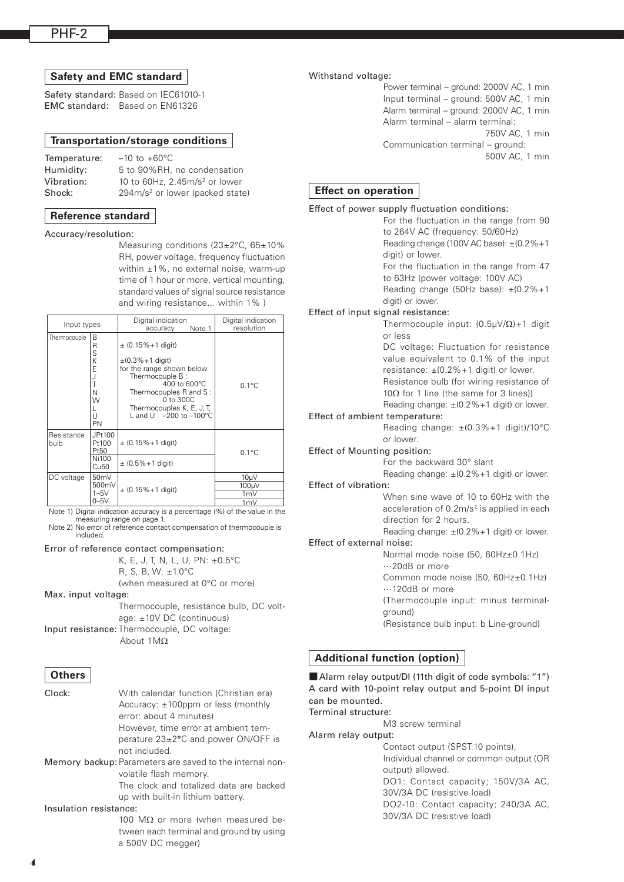#### **Safety and EMC standard**

Safety standard: Based on IEC61010-1 EMC standard: Based on EN61326

#### **Transportation/storage conditions**

| Temperature: | $-10$ to $+60^{\circ}$ C                    |
|--------------|---------------------------------------------|
| Humidity:    | 5 to 90%RH, no condensation                 |
| Vibration:   | 10 to 60Hz, 2.45m/s <sup>2</sup> or lower   |
| Shock:       | 294m/s <sup>2</sup> or lower (packed state) |
|              |                                             |

#### **Reference standard**

Accuracy/resolution:

Measuring conditions (23±2°C, 65±10% RH, power voltage, frequency fluctuation within ±1%, no external noise, warm-up time of 1 hour or more, vertical mounting, standard values of signal source resistance and wiring resistance... within 1% )

| Input types                                                   |                                       | Digital indication<br>Note 1<br>accuracy                                                                                                                                                                                                | Digital indication<br>resolution |
|---------------------------------------------------------------|---------------------------------------|-----------------------------------------------------------------------------------------------------------------------------------------------------------------------------------------------------------------------------------------|----------------------------------|
| Thermocouple<br>B<br>R<br>S<br>Κ<br>E<br>Ν<br>W<br>U<br>PN    |                                       | $\pm$ (0.15%+1 digit)<br>$\pm (0.3\% + 1$ digit)<br>for the range shown below<br>Thermocouple B:<br>$400$ to $600^{\circ}$ C<br>Thermocouples R and S:<br>0 to 300C<br>Thermocouples K, E, J, T,<br>L and U: $-200$ to $-100^{\circ}$ C | $0.1^{\circ}$ C                  |
| JPt100<br>Resistance<br>Pt100<br>bulb<br>Pt50<br><b>Ni100</b> |                                       | $\pm$ (0.15% + 1 digit)<br>$\pm$ (0.5% + 1 digit)                                                                                                                                                                                       | $0.1^{\circ}$ C                  |
| DC voltage                                                    | Cu <sub>50</sub><br>50 <sub>m</sub> V |                                                                                                                                                                                                                                         | 10 <sub>µ</sub> V                |
|                                                               | 500mV                                 |                                                                                                                                                                                                                                         | 100µV                            |
|                                                               | $1-5V$                                | $\pm$ (0.15% + 1 digit)                                                                                                                                                                                                                 | 1mV                              |
|                                                               | $0 - 5V$                              |                                                                                                                                                                                                                                         | 1mV                              |

Note 1) Digital indication accuracy is a percentage (%) of the value in the measuring range on page 1.

Note 2) No error of reference contact compensation of thermocouple is included.

#### Error of reference contact compensation:

K, E, J, T, N, L, U, PN: ±0.5°C

R, S, B, W: ±1.0°C

(when measured at 0°C or more)

Max. input voltage:

Thermocouple, resistance bulb, DC voltage: ±10V DC (continuous)

Input resistance: Thermocouple, DC voltage: About 1MΩ

#### **Others**

| Clock:                 | With calendar function (Christian era)<br>Accuracy: $\pm$ 100ppm or less (monthly<br>error: about 4 minutes)<br>However, time error at ambient tem- |
|------------------------|-----------------------------------------------------------------------------------------------------------------------------------------------------|
|                        | perature $23\pm2\degree$ C and power ON/OFF is<br>not included.                                                                                     |
|                        | Memory backup: Parameters are saved to the internal non-<br>volatile flash memory.                                                                  |
|                        | The clock and totalized data are backed<br>up with built-in lithium battery.                                                                        |
| Insulation resistance: |                                                                                                                                                     |
|                        | 100 M $\Omega$ or more (when measured be-                                                                                                           |
|                        | tween each terminal and ground by using<br>a 500V DC megger)                                                                                        |

#### Withstand voltage:

Power terminal – ground: 2000V AC, 1 min Input terminal – ground: 500V AC, 1 min Alarm terminal – ground: 2000V AC, 1 min Alarm terminal – alarm terminal: 750V AC, 1 min Communication terminal – ground: 500V AC, 1 min

#### **Effect on operation**

#### Effect of power supply fluctuation conditions: For the fluctuation in the range from 90 to 264V AC (frequency: 50/60Hz) Reading change (100V AC base):  $\pm$ (0.2%+1) digit) or lower. For the fluctuation in the range from 47 to 63Hz (power voltage: 100V AC) Reading change (50Hz base):  $\pm$ (0.2%+1 digit) or lower. Effect of input signal resistance: Thermocouple input: (0.5µV/Ω)+1 digit or less DC voltage: Fluctuation for resistance value equivalent to 0.1% of the input resistance:  $\pm (0.2\% + 1 \text{ digit})$  or lower. Resistance bulb (for wiring resistance of 10 $\Omega$  for 1 line (the same for 3 lines)) Reading change:  $\pm$ (0.2%+1 digit) or lower. Effect of ambient temperature: Reading change: ±(0.3%+1 digit)/10°C or lower. Effect of Mounting position: For the backward 30° slant Reading change:  $\pm$ (0.2%+1 digit) or lower. Effect of vibration: When sine wave of 10 to 60Hz with the acceleration of  $0.2m/s^2$  is applied in each direction for 2 hours. Reading change:  $\pm$ (0.2%+1 digit) or lower. Effect of external noise: Normal mode noise (50, 60Hz±0.1Hz) …20dB or more Common mode noise (50, 60Hz±0.1Hz) …120dB or more (Thermocouple input: minus terminalground) (Resistance bulb input: b Line-ground)

#### **Additional function (option)**

■ Alarm relay output/DI (11th digit of code symbols: "1") A card with 10-point relay output and 5-point DI input can be mounted. Terminal structure:

M3 screw terminal

Alarm relay output:

Contact output (SPST:10 points), Individual channel or common output (OR output) allowed. DO1: Contact capacity; 150V/3A AC,

30V/3A DC (resistive load) DO2-10: Contact capacity; 240/3A AC,

30V/3A DC (resistive load)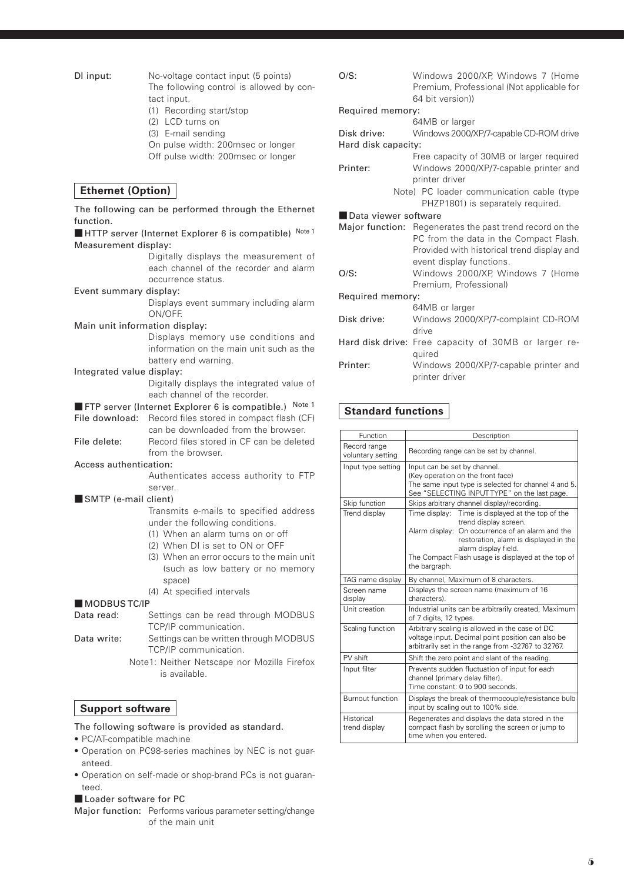DI input:

| No-voltage contact input (5 points)      |
|------------------------------------------|
| The following control is allowed by con- |
| tact input.                              |
|                                          |

- (1) Recording start/stop
- (2) LCD turns on
- (3) E-mail sending
- On pulse width: 200msec or longer
- Off pulse width: 200msec or longer

#### **Ethernet (Option)**

The following can be performed through the Ethernet function. ■ HTTP server (Internet Explorer 6 is compatible) Note 1 Measurement display: Digitally displays the measurement of each channel of the recorder and alarm occurrence status. Event summary display: Displays event summary including alarm ON/OFF. Main unit information display: Displays memory use conditions and information on the main unit such as the battery end warning. Integrated value display: Digitally displays the integrated value of each channel of the recorder. ■ FTP server (Internet Explorer 6 is compatible.) Note 1 File download: Record files stored in compact flash (CF) can be downloaded from the browser. File delete: Record files stored in CF can be deleted from the browser. Access authentication: Authenticates access authority to FTP server. ■ SMTP (e-mail client) Transmits e-mails to specified address under the following conditions. (1) When an alarm turns on or off (2) When DI is set to ON or OFF (3) When an error occurs to the main unit (such as low battery or no memory space) (4) At specified intervals

■ MODBUS TC/IP

Data read: Settings can be read through MODBUS TCP/IP communication.

- Data write: Settings can be written through MODBUS TCP/IP communication.
	- Note1: Neither Netscape nor Mozilla Firefox is available.

#### **Support software**

#### The following software is provided as standard.

- • PC/AT-compatible machine
- Operation on PC98-series machines by NEC is not guaranteed.
- Operation on self-made or shop-brand PCs is not guaranteed.
- Loader software for PC

Major function: Performs various parameter setting/change of the main unit

| O/S:                 | Windows 2000/XP, Windows 7 (Home<br>Premium, Professional (Not applicable for<br>64 bit version)                                                 |
|----------------------|--------------------------------------------------------------------------------------------------------------------------------------------------|
| Required memory:     |                                                                                                                                                  |
|                      | 64MB or larger                                                                                                                                   |
| Disk drive:          | Windows 2000/XP/7-capable CD-ROM drive                                                                                                           |
| Hard disk capacity:  |                                                                                                                                                  |
|                      | Free capacity of 30MB or larger required                                                                                                         |
| Printer:             | Windows 2000/XP/7-capable printer and                                                                                                            |
|                      | printer driver                                                                                                                                   |
|                      | Note) PC loader communication cable (type                                                                                                        |
|                      | PHZP1801) is separately required.                                                                                                                |
| Data viewer software |                                                                                                                                                  |
|                      | Major function: Regenerates the past trend record on the<br>PC from the data in the Compact Flash.<br>Provided with historical trend display and |
|                      | event display functions.                                                                                                                         |
| $O/S$ :              | Windows 2000/XP, Windows 7 (Home                                                                                                                 |
|                      | Premium, Professional)                                                                                                                           |
| Required memory:     |                                                                                                                                                  |
|                      | 64MB or larger                                                                                                                                   |
| Disk drive:          | Windows 2000/XP/7-complaint CD-ROM                                                                                                               |
|                      | drive                                                                                                                                            |
|                      | Hard disk drive: Free capacity of 30MB or larger re-                                                                                             |
|                      | quired                                                                                                                                           |
| Printer:             | Windows 2000/XP/7-capable printer and<br>printer driver                                                                                          |

#### **Standard functions**

| <b>Function</b>                   | Description                                                                                                                                                                                                                                                                |  |
|-----------------------------------|----------------------------------------------------------------------------------------------------------------------------------------------------------------------------------------------------------------------------------------------------------------------------|--|
| Record range<br>voluntary setting | Recording range can be set by channel.                                                                                                                                                                                                                                     |  |
| Input type setting                | Input can be set by channel.<br>(Key operation on the front face)<br>The same input type is selected for channel 4 and 5.<br>See "SELECTING INPUT TYPE" on the last page.                                                                                                  |  |
| Skip function                     | Skips arbitrary channel display/recording.                                                                                                                                                                                                                                 |  |
| Trend display                     | Time display:<br>Time is displayed at the top of the<br>trend display screen.<br>Alarm display: On occurrence of an alarm and the<br>restoration, alarm is displayed in the<br>alarm display field.<br>The Compact Flash usage is displayed at the top of<br>the bargraph. |  |
| TAG name display                  | By channel, Maximum of 8 characters.                                                                                                                                                                                                                                       |  |
| Screen name<br>display            | Displays the screen name (maximum of 16<br>characters).                                                                                                                                                                                                                    |  |
| Unit creation                     | Industrial units can be arbitrarily created, Maximum<br>of 7 digits, 12 types.                                                                                                                                                                                             |  |
| Scaling function                  | Arbitrary scaling is allowed in the case of DC<br>voltage input. Decimal point position can also be<br>arbitrarily set in the range from -32767 to 32767.                                                                                                                  |  |
| PV shift                          | Shift the zero point and slant of the reading.                                                                                                                                                                                                                             |  |
| Input filter                      | Prevents sudden fluctuation of input for each<br>channel (primary delay filter).<br>Time constant: 0 to 900 seconds.                                                                                                                                                       |  |
| <b>Burnout function</b>           | Displays the break of thermocouple/resistance bulb<br>input by scaling out to 100% side.                                                                                                                                                                                   |  |
| Historical<br>trend display       | Regenerates and displays the data stored in the<br>compact flash by scrolling the screen or jump to<br>time when you entered.                                                                                                                                              |  |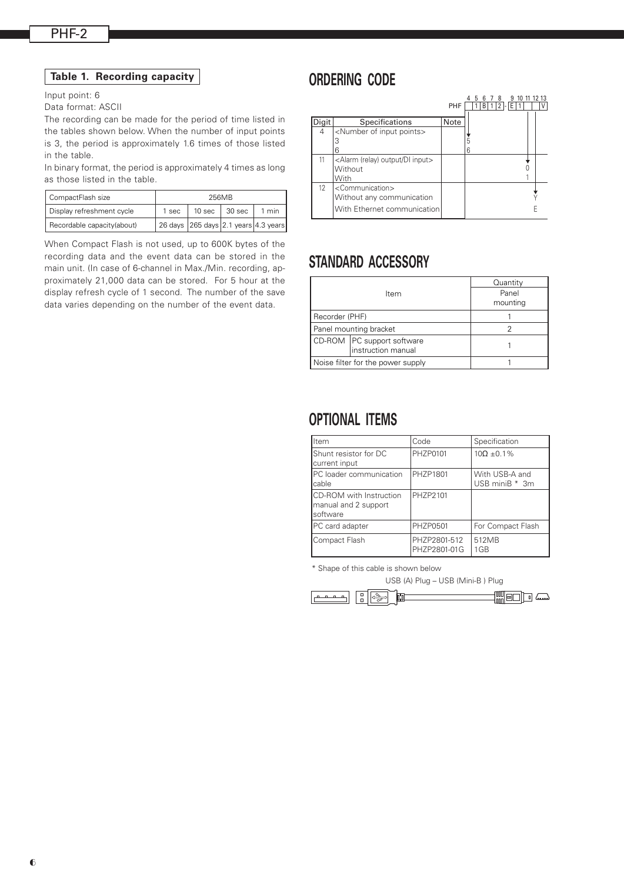#### Input point: 6

Data format: ASCII

The recording can be made for the period of time listed in the tables shown below. When the number of input points is 3, the period is approximately 1.6 times of those listed in the table.

In binary format, the period is approximately 4 times as long<br>capthese listed in the table as those listed in the table.

| CompactFlash size           |       | 256MB |                                      |       |
|-----------------------------|-------|-------|--------------------------------------|-------|
| Display refreshment cycle   | 1 sec |       | 10 sec $\vert$ 30 sec                | 1 min |
| Recordable capacity (about) |       |       | 26 days 265 days 2.1 years 4.3 years |       |

When Compact Flash is not used, up to 600K bytes of the recording data and the event data can be stored in the main unit. (In case of 6-channel in Max./Min. recording, approximately 21,000 data can be stored. For 5 hour at the display refresh cycle of 1 second. The number of the save data varies depending on the number of the event data.

### **ORDERING CODE**

|       |                                                                                               |      |  | ิค    | 8 | q |  | 10 11 12 13 |
|-------|-----------------------------------------------------------------------------------------------|------|--|-------|---|---|--|-------------|
|       |                                                                                               | PHF  |  | I B I |   |   |  |             |
| Digit | <b>Specifications</b>                                                                         | Note |  |       |   |   |  |             |
| 4     | <number input="" of="" points=""><br/>З<br/>6</number>                                        |      |  |       |   |   |  |             |
| 11    | <alarm (relay)="" di="" input="" output=""><br/>Without<br/>With</alarm>                      |      |  |       |   |   |  |             |
| 12    | <communication><br/>Without any communication<br/>With Ethernet communication</communication> |      |  |       |   |   |  |             |

### **STANDARD ACCESSORY**

|                |                                                    | Quantity          |
|----------------|----------------------------------------------------|-------------------|
|                | ltem                                               | Panel<br>mounting |
| Recorder (PHF) |                                                    |                   |
|                | Panel mounting bracket                             |                   |
|                | CD-ROM   PC support software<br>instruction manual |                   |
|                | Noise filter for the power supply                  |                   |

### **OPTIONAL ITEMS**

| lltem                                                               | Code                         | Specification                    |
|---------------------------------------------------------------------|------------------------------|----------------------------------|
| Shunt resistor for DC<br>current input                              | PHZP0101                     | $10\Omega + 0.1\%$               |
| <b>IPC</b> loader communication<br>cable                            | PHZP1801                     | With USB-A and<br>USB miniB * 3m |
| <b>ICD-ROM</b> with Instruction<br>manual and 2 support<br>software | PHZP2101                     |                                  |
| PC card adapter                                                     | <b>PHZP0501</b>              | For Compact Flash                |
| Compact Flash                                                       | PHZP2801-512<br>PHZP2801-01G | 512MB<br>1GB                     |

\* Shape of this cable is shown below

USB (A) Plug – USB (Mini-B ) Plug

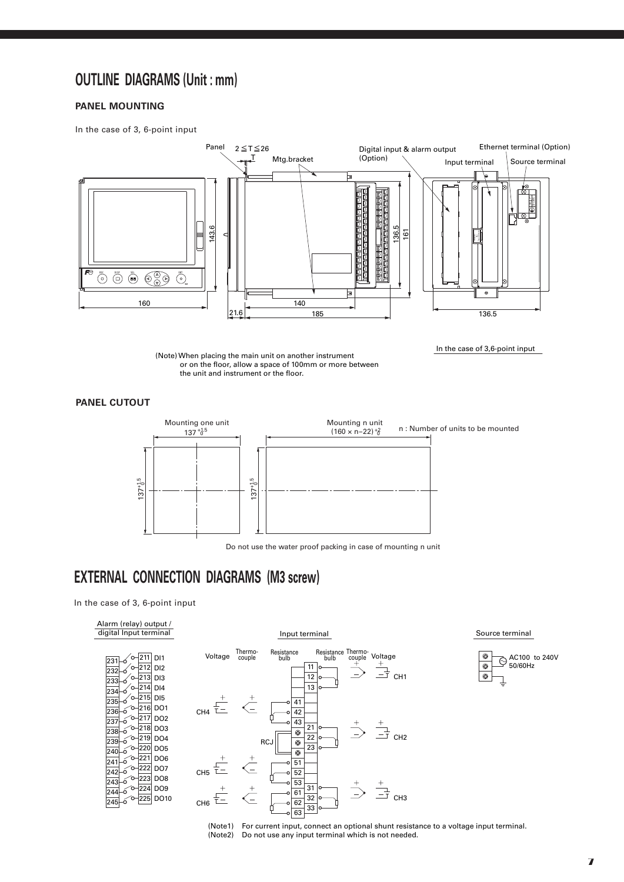### **OUTLINE DIAGRAMS (Unit : mm)**

#### **Panel Mounting**

In the case of 3, 6-point input



(Note) When placing the main unit on another instrument or on the floor, allow a space of 100mm or more between the unit and instrument or the floor.

**Panel cutout**



Do not use the water proof packing in case of mounting n unit

### **EXTERNAL CONNECTION DIAGRAMS (M3 screw)**

In the case of 3, 6-point input

| Alarm (relay) output / |
|------------------------|
| digital Input terminal |

| 231 | ó | ö | 211 | D <sub>1</sub>  |
|-----|---|---|-----|-----------------|
| 232 | ó |   | 212 | D <sub>12</sub> |
| 233 | Ć | Ó | 213 | DI3             |
| 234 | Ć | Ó | 214 | DI4             |
| 235 | Ó |   | 215 | DI <sub>5</sub> |
| 236 | ó | ö | 216 | DO1             |
|     |   | ō | 217 | DO <sub>2</sub> |
| 237 | ó |   |     |                 |
| 238 | ó | Ċ | 218 | DO3             |
| 239 | ó | ö | 219 | DO <sub>4</sub> |
| 240 | ó | ö | 220 | DO <sub>5</sub> |
| 241 | ó |   | 221 | DO <sub>6</sub> |
| 242 | ó | o | 222 | DO7             |
|     | ó | O | 223 | DO8             |
| 243 |   |   | 224 | DO <sub>9</sub> |
| 244 | ó |   |     |                 |
|     |   |   | 225 | DO 10           |
|     |   |   |     |                 |



Input terminal

Source terminal

In the case of 3,6-point input



(Note1) For current input, connect an optional shunt resistance to a voltage input terminal. (Note2) Do not use any input terminal which is not needed.